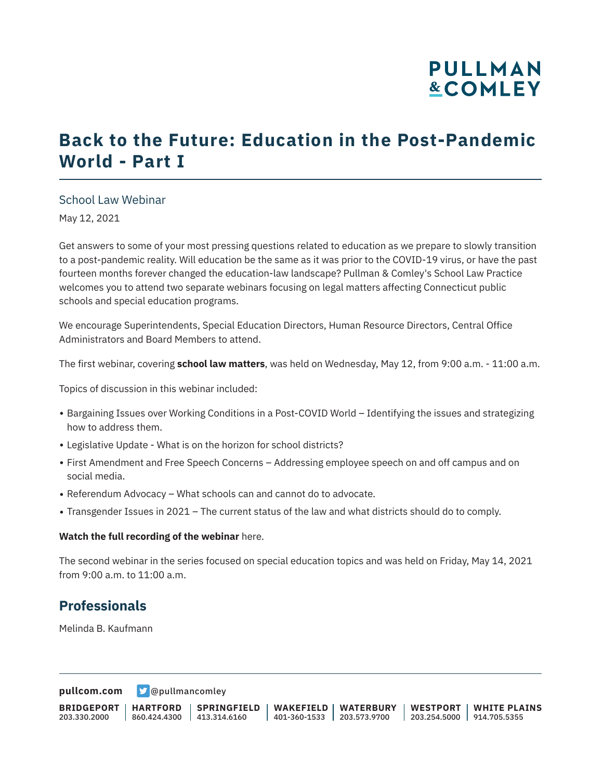# **PULLMAN &COMLEY**

# **Back to the Future: Education in the Post-Pandemic World - Part I**

### School Law Webinar

May 12, 2021

Get answers to some of your most pressing questions related to education as we prepare to slowly transition to a post-pandemic reality. Will education be the same as it was prior to the COVID-19 virus, or have the past fourteen months forever changed the education-law landscape? Pullman & Comley's School Law Practice welcomes you to attend two separate webinars focusing on legal matters affecting Connecticut public schools and special education programs.

We encourage Superintendents, Special Education Directors, Human Resource Directors, Central Office Administrators and Board Members to attend.

The first webinar, covering **school law matters**, was held on Wednesday, May 12, from 9:00 a.m. - 11:00 a.m.

Topics of discussion in this webinar included:

- Bargaining Issues over Working Conditions in a Post-COVID World Identifying the issues and strategizing how to address them.
- Legislative Update What is on the horizon for school districts?
- First Amendment and Free Speech Concerns Addressing employee speech on and off campus and on social media.
- Referendum Advocacy What schools can and cannot do to advocate.
- Transgender Issues in 2021 The current status of the law and what districts should do to comply.

#### **Watch the full recording of the webinar** here.

The second webinar in the series focused on special education topics and was held on Friday, May 14, 2021 from 9:00 a.m. to 11:00 a.m.

### **Professionals**

Melinda B. Kaufmann

**[pullcom.com](https://www.pullcom.com) g** [@pullmancomley](https://twitter.com/PullmanComley)